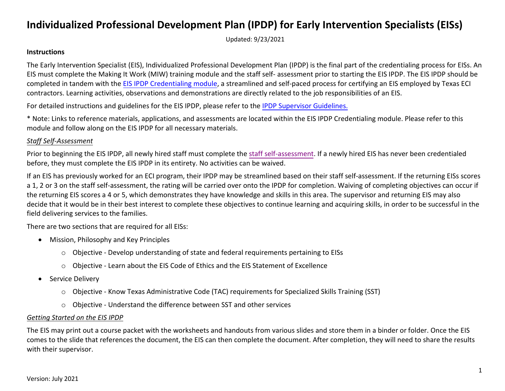Updated: 9/23/2021

#### **Instructions**

The Early Intervention Specialist (EIS), Individualized Professional Development Plan (IPDP) is the final part of the credentialing process for EISs. An EIS must complete the Making It Work (MIW) training module and the staff self- assessment prior to starting the EIS IPDP. The EIS IPDP should be completed in tandem with the [EIS IPDP Credentialing module,](https://www.hhs.texas.gov/providers/assistive-services-providers/early-childhood-intervention-programs/eci-training-technical-assistance/early-intervention-specialist-ipdp-credentialing) a streamlined and self-paced process for certifying an EIS employed by Texas ECI contractors. Learning activities, observations and demonstrations are directly related to the job responsibilities of an EIS.

For detailed instructions and guidelines for the EIS IPDP, please refer to the [IPDP Supervisor Guidelines.](https://admin.learningstream.com/files/%7B07D0901F-86B6-4CD0-B7A2-908BF5F49EB0%7D_59/EIS_IPDP_Supervisor_Guidelines.pdf)

\* Note: Links to reference materials, applications, and assessments are located within the EIS IPDP Credentialing module. Please refer to this module and follow along on the EIS IPDP for all necessary materials.

### *Staff Self-Assessment*

Prior to beginning the EIS IPDP, all newly hired staff must complete the [staff self-assessment.](https://admin.learningstream.com/files/%7B07D0901F-86B6-4CD0-B7A2-908BF5F49EB0%7D_59/IPDP-Staff-Assessment.pdf) If a newly hired EIS has never been credentialed before, they must complete the EIS IPDP in its entirety. No activities can be waived.

If an EIS has previously worked for an ECI program, their IPDP may be streamlined based on their staff self-assessment. If the returning EISs scores a 1, 2 or 3 on the staff self-assessment, the rating will be carried over onto the IPDP for completion. Waiving of completing objectives can occur if the returning EIS scores a 4 or 5, which demonstrates they have knowledge and skills in this area. The supervisor and returning EIS may also decide that it would be in their best interest to complete these objectives to continue learning and acquiring skills, in order to be successful in the field delivering services to the families.

There are two sections that are required for all EISs:

- Mission, Philosophy and Key Principles
	- o Objective Develop understanding of state and federal requirements pertaining to EISs
	- o Objective Learn about the EIS Code of Ethics and the EIS Statement of Excellence
- Service Delivery
	- o Objective Know Texas Administrative Code (TAC) requirements for Specialized Skills Training (SST)
	- o Objective Understand the difference between SST and other services

### *Getting Started on the EIS IPDP*

The EIS may print out a course packet with the worksheets and handouts from various slides and store them in a binder or folder. Once the EIS comes to the slide that references the document, the EIS can then complete the document. After completion, they will need to share the results with their supervisor.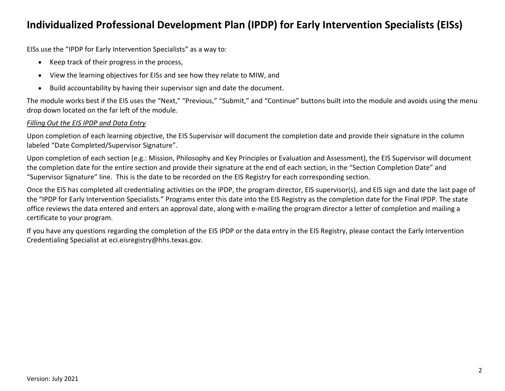EISs use the "IPDP for Early Intervention Specialists" as a way to:

- Keep track of their progress in the process,
- View the learning objectives for EISs and see how they relate to MIW, and
- Build accountability by having their supervisor sign and date the document.

The module works best if the EIS uses the "Next," "Previous," "Submit," and "Continue" buttons built into the module and avoids using the menu drop down located on the far left of the module.

### *Filling Out the EIS IPDP and Data Entry*

Upon completion of each learning objective, the EIS Supervisor will document the completion date and provide their signature in the column labeled "Date Completed/Supervisor Signature".

Upon completion of each section (e.g.: Mission, Philosophy and Key Principles or Evaluation and Assessment), the EIS Supervisor will document the completion date for the entire section and provide their signature at the end of each section, in the "Section Completion Date" and "Supervisor Signature" line. This is the date to be recorded on the EIS Registry for each corresponding section.

Once the EIS has completed all credentialing activities on the IPDP, the program director, EIS supervisor(s), and EIS sign and date the last page of the "IPDP for Early Intervention Specialists." Programs enter this date into the EIS Registry as the completion date for the Final IPDP. The state office reviews the data entered and enters an approval date, along with e-mailing the program director a letter of completion and mailing a certificate to your program.

If you have any questions regarding the completion of the EIS IPDP or the data entry in the EIS Registry, please contact the Early Intervention Credentialing Specialist at eci.eisregistry@hhs.texas.gov.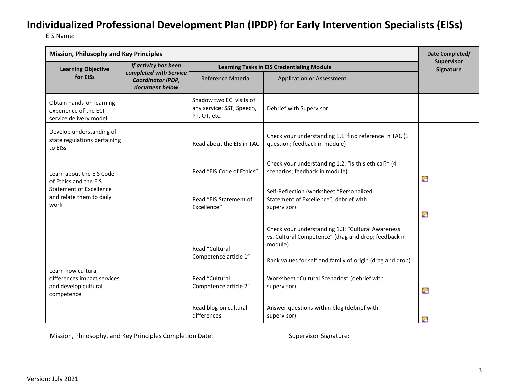EIS Name:

| <b>Mission, Philosophy and Key Principles</b>                                           |                      |                                                                       |                                                                                                                      |                         |
|-----------------------------------------------------------------------------------------|----------------------|-----------------------------------------------------------------------|----------------------------------------------------------------------------------------------------------------------|-------------------------|
| <b>Learning Objective</b>                                                               | If activity has been |                                                                       | <b>Learning Tasks in EIS Credentialing Module</b>                                                                    | Supervisor<br>Signature |
| completed with Service<br>for EISs<br><b>Coordinator IPDP,</b><br>document below        |                      | <b>Reference Material</b>                                             | <b>Application or Assessment</b>                                                                                     |                         |
| Obtain hands-on learning<br>experience of the ECI<br>service delivery model             |                      | Shadow two ECI visits of<br>any service: SST, Speech,<br>PT, OT, etc. | Debrief with Supervisor.                                                                                             |                         |
| Develop understanding of<br>state regulations pertaining<br>to EISs                     |                      | Read about the EIS in TAC                                             | Check your understanding 1.1: find reference in TAC (1<br>question; feedback in module)                              |                         |
| Learn about the EIS Code<br>of Ethics and the EIS                                       |                      | Read "EIS Code of Ethics"                                             | Check your understanding 1.2: "Is this ethical?" (4<br>scenarios; feedback in module)                                | $\bullet$               |
| <b>Statement of Excellence</b><br>and relate them to daily<br>work                      |                      | Read "EIS Statement of<br>Excellence"                                 | Self-Reflection (worksheet "Personalized<br>Statement of Excellence"; debrief with<br>supervisor)                    | $\bullet$               |
|                                                                                         |                      | Read "Cultural<br>Competence article 1"                               | Check your understanding 1.3: "Cultural Awareness<br>vs. Cultural Competence" (drag and drop; feedback in<br>module) |                         |
|                                                                                         |                      |                                                                       | Rank values for self and family of origin (drag and drop)                                                            |                         |
| Learn how cultural<br>differences impact services<br>and develop cultural<br>competence |                      | Read "Cultural<br>Competence article 2"                               | Worksheet "Cultural Scenarios" (debrief with<br>supervisor)                                                          | G                       |
|                                                                                         |                      | Read blog on cultural<br>differences                                  | Answer questions within blog (debrief with<br>supervisor)                                                            | $\bullet$               |

Mission, Philosophy, and Key Principles Completion Date: \_\_\_\_\_\_\_\_ Supervisor Signature: \_\_\_\_\_\_\_\_\_\_\_\_\_\_\_\_\_\_\_\_\_\_\_\_\_\_\_\_\_\_\_\_\_\_\_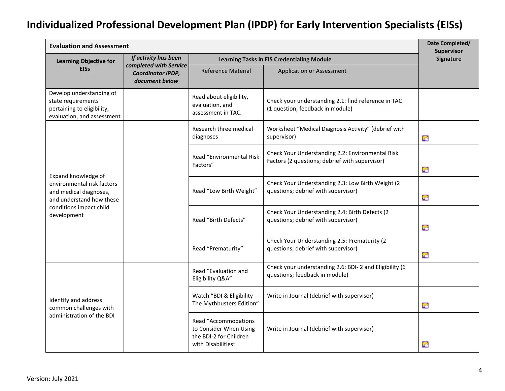| <b>Evaluation and Assessment</b>                                                                                                                  |                      |                                                                                                |                                                                                                    |                         |
|---------------------------------------------------------------------------------------------------------------------------------------------------|----------------------|------------------------------------------------------------------------------------------------|----------------------------------------------------------------------------------------------------|-------------------------|
| <b>Learning Objective for</b>                                                                                                                     | If activity has been |                                                                                                | <b>Learning Tasks in EIS Credentialing Module</b>                                                  | Supervisor<br>Signature |
| completed with Service<br><b>EISs</b><br>Coordinator IPDP,<br>document below                                                                      |                      | <b>Reference Material</b>                                                                      | <b>Application or Assessment</b>                                                                   |                         |
| Develop understanding of<br>state requirements<br>pertaining to eligibility,<br>evaluation, and assessment.                                       |                      | Read about eligibility,<br>evaluation, and<br>assessment in TAC.                               | Check your understanding 2.1: find reference in TAC<br>(1 question; feedback in module)            |                         |
|                                                                                                                                                   |                      | Research three medical<br>diagnoses                                                            | Worksheet "Medical Diagnosis Activity" (debrief with<br>supervisor)                                | G                       |
| Expand knowledge of<br>environmental risk factors<br>and medical diagnoses,<br>and understand how these<br>conditions impact child<br>development |                      | Read "Environmental Risk<br>Factors"                                                           | Check Your Understanding 2.2: Environmental Risk<br>Factors (2 questions; debrief with supervisor) | G                       |
|                                                                                                                                                   |                      | Read "Low Birth Weight"                                                                        | Check Your Understanding 2.3: Low Birth Weight (2)<br>questions; debrief with supervisor)          | G                       |
|                                                                                                                                                   |                      | Read "Birth Defects"                                                                           | Check Your Understanding 2.4: Birth Defects (2<br>questions; debrief with supervisor)              | G                       |
|                                                                                                                                                   |                      | Read "Prematurity"                                                                             | Check Your Understanding 2.5: Prematurity (2<br>questions; debrief with supervisor)                | G                       |
| Identify and address<br>common challenges with<br>administration of the BDI                                                                       |                      | Read "Evaluation and<br>Eligibility Q&A"                                                       | Check your understanding 2.6: BDI-2 and Eligibility (6<br>questions; feedback in module)           |                         |
|                                                                                                                                                   |                      | Watch "BDI & Eligibility<br>The Mythbusters Edition"                                           | Write in Journal (debrief with supervisor)                                                         | G                       |
|                                                                                                                                                   |                      | Read "Accommodations<br>to Consider When Using<br>the BDI-2 for Children<br>with Disabilities" | Write in Journal (debrief with supervisor)                                                         | Ø                       |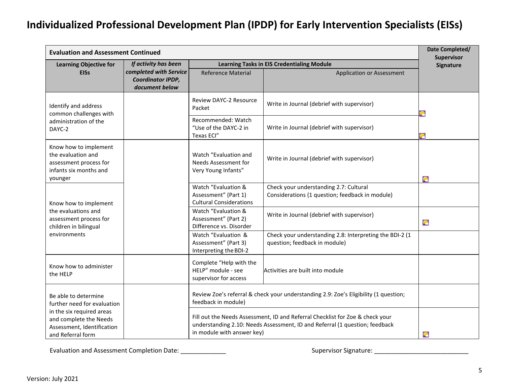| <b>Evaluation and Assessment Continued</b>                                                                                                                    |                                                                      |                                                                               |                                                                                                                                                              |                         |
|---------------------------------------------------------------------------------------------------------------------------------------------------------------|----------------------------------------------------------------------|-------------------------------------------------------------------------------|--------------------------------------------------------------------------------------------------------------------------------------------------------------|-------------------------|
| <b>Learning Objective for</b>                                                                                                                                 | If activity has been                                                 |                                                                               | <b>Learning Tasks in EIS Credentialing Module</b>                                                                                                            | Supervisor<br>Signature |
| <b>EISs</b>                                                                                                                                                   | completed with Service<br><b>Coordinator IPDP,</b><br>document below | <b>Reference Material</b>                                                     | <b>Application or Assessment</b>                                                                                                                             |                         |
| Identify and address<br>common challenges with                                                                                                                |                                                                      | <b>Review DAYC-2 Resource</b><br>Packet                                       | Write in Journal (debrief with supervisor)                                                                                                                   |                         |
| administration of the<br>DAYC-2                                                                                                                               |                                                                      | Recommended: Watch<br>"Use of the DAYC-2 in<br>Texas ECI"                     | Write in Journal (debrief with supervisor)                                                                                                                   |                         |
| Know how to implement<br>the evaluation and<br>assessment process for<br>infants six months and<br>younger                                                    |                                                                      | Watch "Evaluation and<br>Needs Assessment for<br>Very Young Infants"          | Write in Journal (debrief with supervisor)                                                                                                                   | 宕                       |
| Know how to implement<br>the evaluations and<br>assessment process for<br>children in bilingual<br>environments                                               |                                                                      | Watch "Evaluation &<br>Assessment" (Part 1)<br><b>Cultural Considerations</b> | Check your understanding 2.7: Cultural<br>Considerations (1 question; feedback in module)                                                                    |                         |
|                                                                                                                                                               |                                                                      | Watch "Evaluation &<br>Assessment" (Part 2)<br>Difference vs. Disorder        | Write in Journal (debrief with supervisor)                                                                                                                   | G                       |
|                                                                                                                                                               |                                                                      | Watch "Evaluation &<br>Assessment" (Part 3)<br>Interpreting the BDI-2         | Check your understanding 2.8: Interpreting the BDI-2 (1<br>question; feedback in module)                                                                     |                         |
| Know how to administer<br>the HELP                                                                                                                            |                                                                      | Complete "Help with the<br>HELP" module - see<br>supervisor for access        | Activities are built into module                                                                                                                             |                         |
| Be able to determine<br>further need for evaluation<br>in the six required areas<br>and complete the Needs<br>Assessment, Identification<br>and Referral form |                                                                      | feedback in module)                                                           | Review Zoe's referral & check your understanding 2.9: Zoe's Eligibility (1 question;                                                                         |                         |
|                                                                                                                                                               |                                                                      | in module with answer key)                                                    | Fill out the Needs Assessment, ID and Referral Checklist for Zoe & check your<br>understanding 2.10: Needs Assessment, ID and Referral (1 question; feedback | $\bullet$               |

Evaluation and Assessment Completion Date: \_\_\_\_\_\_\_\_\_\_\_\_\_ Supervisor Signature: \_\_\_\_\_\_\_\_\_\_\_\_\_\_\_\_\_\_\_\_\_\_\_\_\_\_\_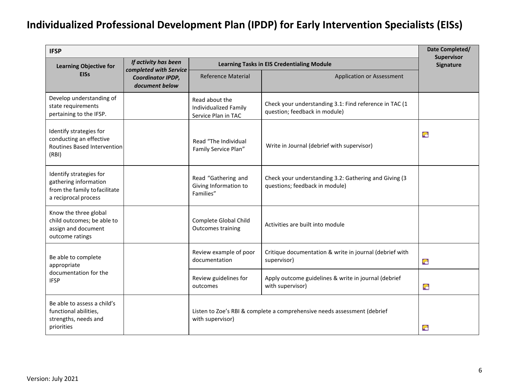| <b>IFSP</b>                                                                                               |                      |                                                                |                                                                                         |   |
|-----------------------------------------------------------------------------------------------------------|----------------------|----------------------------------------------------------------|-----------------------------------------------------------------------------------------|---|
| <b>Learning Objective for</b>                                                                             | If activity has been | <b>Learning Tasks in EIS Credentialing Module</b>              | <b>Supervisor</b><br>Signature                                                          |   |
| completed with Service<br><b>EISs</b><br>Coordinator IPDP,<br>document below                              |                      | <b>Reference Material</b>                                      | Application or Assessment                                                               |   |
| Develop understanding of<br>state requirements<br>pertaining to the IFSP.                                 |                      | Read about the<br>Individualized Family<br>Service Plan in TAC | Check your understanding 3.1: Find reference in TAC (1<br>question; feedback in module) |   |
| Identify strategies for<br>conducting an effective<br>Routines Based Intervention<br>(RBI)                |                      | Read "The Individual<br>Family Service Plan"                   | Write in Journal (debrief with supervisor)                                              |   |
| Identify strategies for<br>gathering information<br>from the family to facilitate<br>a reciprocal process |                      | Read "Gathering and<br>Giving Information to<br>Families"      | Check your understanding 3.2: Gathering and Giving (3<br>questions; feedback in module) |   |
| Know the three global<br>child outcomes; be able to<br>assign and document<br>outcome ratings             |                      | Complete Global Child<br>Outcomes training                     | Activities are built into module                                                        |   |
| Be able to complete<br>appropriate                                                                        |                      | Review example of poor<br>documentation                        | Critique documentation & write in journal (debrief with<br>supervisor)                  | G |
| documentation for the<br><b>IFSP</b>                                                                      |                      | Review guidelines for<br>outcomes                              | Apply outcome guidelines & write in journal (debrief<br>with supervisor)                | G |
| Be able to assess a child's<br>functional abilities,<br>strengths, needs and<br>priorities                |                      | with supervisor)                                               | Listen to Zoe's RBI & complete a comprehensive needs assessment (debrief                | G |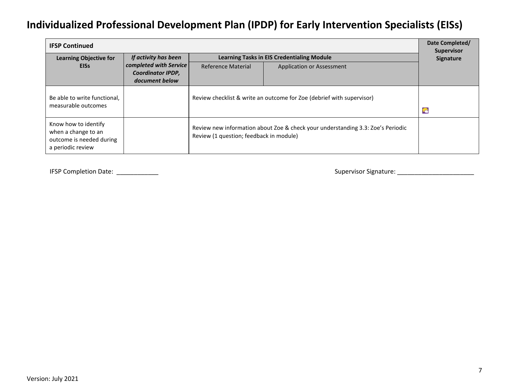| <b>IFSP Continued</b>                                                                        |                      |                                                                                                                            |                                                                       |                                |  |
|----------------------------------------------------------------------------------------------|----------------------|----------------------------------------------------------------------------------------------------------------------------|-----------------------------------------------------------------------|--------------------------------|--|
| <b>Learning Objective for</b>                                                                | If activity has been |                                                                                                                            | <b>Learning Tasks in EIS Credentialing Module</b>                     | <b>Supervisor</b><br>Signature |  |
| completed with Service<br><b>EISS</b><br><b>Coordinator IPDP,</b><br>document below          |                      | Reference Material                                                                                                         | <b>Application or Assessment</b>                                      |                                |  |
| Be able to write functional,<br>measurable outcomes                                          |                      |                                                                                                                            | Review checklist & write an outcome for Zoe (debrief with supervisor) |                                |  |
| Know how to identify<br>when a change to an<br>outcome is needed during<br>a periodic review |                      | Review new information about Zoe & check your understanding 3.3: Zoe's Periodic<br>Review (1 question; feedback in module) |                                                                       |                                |  |

IFSP Completion Date: \_\_\_\_\_\_\_\_\_\_\_\_ Supervisor Signature: \_\_\_\_\_\_\_\_\_\_\_\_\_\_\_\_\_\_\_\_\_\_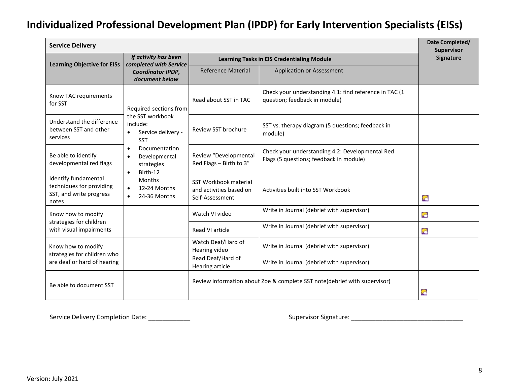| <b>Service Delivery</b>                                                              |                                                                                                                                                                                                                                                                                       |                                                                     |                                                                                            |                         |
|--------------------------------------------------------------------------------------|---------------------------------------------------------------------------------------------------------------------------------------------------------------------------------------------------------------------------------------------------------------------------------------|---------------------------------------------------------------------|--------------------------------------------------------------------------------------------|-------------------------|
| <b>Learning Objective for EISs</b>                                                   | If activity has been<br>completed with Service                                                                                                                                                                                                                                        |                                                                     | <b>Learning Tasks in EIS Credentialing Module</b>                                          | Supervisor<br>Signature |
|                                                                                      | Coordinator IPDP,<br>document below                                                                                                                                                                                                                                                   | <b>Reference Material</b>                                           | <b>Application or Assessment</b>                                                           |                         |
| Know TAC requirements<br>for SST                                                     | Required sections from<br>the SST workbook<br>include:<br>Service delivery -<br>$\bullet$<br><b>SST</b><br>Documentation<br>$\bullet$<br>Developmental<br>$\bullet$<br>strategies<br>Birth-12<br>$\bullet$<br><b>Months</b><br>12-24 Months<br>$\bullet$<br>24-36 Months<br>$\bullet$ | Read about SST in TAC                                               | Check your understanding 4.1: find reference in TAC (1<br>question; feedback in module)    |                         |
| Understand the difference<br>between SST and other<br>services                       |                                                                                                                                                                                                                                                                                       | Review SST brochure                                                 | SST vs. therapy diagram (5 questions; feedback in<br>module)                               |                         |
| Be able to identify<br>developmental red flags                                       |                                                                                                                                                                                                                                                                                       | Review "Developmental<br>Red Flags - Birth to 3"                    | Check your understanding 4.2: Developmental Red<br>Flags (5 questions; feedback in module) |                         |
| Identify fundamental<br>techniques for providing<br>SST, and write progress<br>notes |                                                                                                                                                                                                                                                                                       | SST Workbook material<br>and activities based on<br>Self-Assessment | Activities built into SST Workbook                                                         | ۶è                      |
| Know how to modify                                                                   |                                                                                                                                                                                                                                                                                       | Watch VI video                                                      | Write in Journal (debrief with supervisor)                                                 | G                       |
| strategies for children<br>with visual impairments                                   |                                                                                                                                                                                                                                                                                       | Read VI article                                                     | Write in Journal (debrief with supervisor)                                                 | G                       |
| Know how to modify                                                                   |                                                                                                                                                                                                                                                                                       | Watch Deaf/Hard of<br>Hearing video                                 | Write in Journal (debrief with supervisor)                                                 |                         |
| strategies for children who<br>are deaf or hard of hearing                           |                                                                                                                                                                                                                                                                                       | Read Deaf/Hard of<br>Hearing article                                | Write in Journal (debrief with supervisor)                                                 |                         |
| Be able to document SST                                                              |                                                                                                                                                                                                                                                                                       |                                                                     | Review information about Zoe & complete SST note(debrief with supervisor)                  | G                       |

Service Delivery Completion Date: \_\_\_\_\_\_\_\_\_\_\_\_ Supervisor Signature: \_\_\_\_\_\_\_\_\_\_\_\_\_\_\_\_\_\_\_\_\_\_\_\_\_\_\_\_\_\_\_\_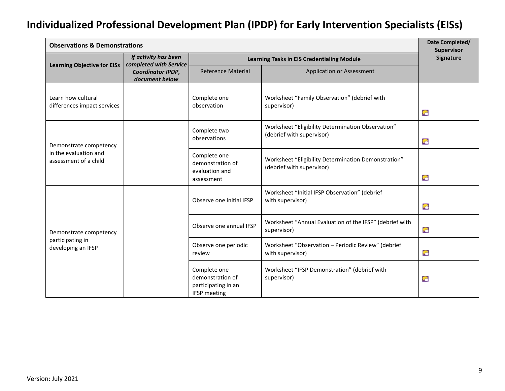| <b>Observations &amp; Demonstrations</b>                                 |                                                                                            |                                                                                |                                                                                  |                                |  |
|--------------------------------------------------------------------------|--------------------------------------------------------------------------------------------|--------------------------------------------------------------------------------|----------------------------------------------------------------------------------|--------------------------------|--|
|                                                                          | If activity has been<br>completed with Service                                             |                                                                                | <b>Learning Tasks in EIS Credentialing Module</b>                                | <b>Supervisor</b><br>Signature |  |
| <b>Learning Objective for EISs</b>                                       | Coordinator IPDP,<br>document below                                                        | <b>Reference Material</b>                                                      | <b>Application or Assessment</b>                                                 |                                |  |
| Learn how cultural<br>differences impact services                        | Complete one<br>Worksheet "Family Observation" (debrief with<br>observation<br>supervisor) |                                                                                | 宕                                                                                |                                |  |
| Demonstrate competency<br>in the evaluation and<br>assessment of a child |                                                                                            | Complete two<br>observations                                                   | Worksheet "Eligibility Determination Observation"<br>(debrief with supervisor)   | G                              |  |
|                                                                          |                                                                                            | Complete one<br>demonstration of<br>evaluation and<br>assessment               | Worksheet "Eligibility Determination Demonstration"<br>(debrief with supervisor) | G                              |  |
| Demonstrate competency<br>participating in<br>developing an IFSP         |                                                                                            | Observe one initial IFSP                                                       | Worksheet "Initial IFSP Observation" (debrief<br>with supervisor)                | G                              |  |
|                                                                          |                                                                                            | Observe one annual IFSP                                                        | Worksheet "Annual Evaluation of the IFSP" (debrief with<br>supervisor)           | G                              |  |
|                                                                          |                                                                                            | Observe one periodic<br>review                                                 | Worksheet "Observation - Periodic Review" (debrief<br>with supervisor)           | G                              |  |
|                                                                          |                                                                                            | Complete one<br>demonstration of<br>participating in an<br><b>IFSP</b> meeting | Worksheet "IFSP Demonstration" (debrief with<br>supervisor)                      | ۶è                             |  |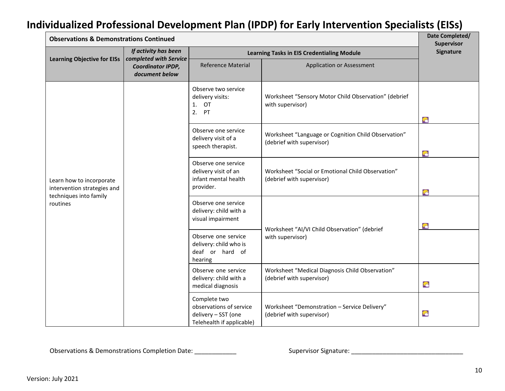| <b>Observations &amp; Demonstrations Continued</b>                                            |                                                                      |                                                                                             |                                                                                  |           |
|-----------------------------------------------------------------------------------------------|----------------------------------------------------------------------|---------------------------------------------------------------------------------------------|----------------------------------------------------------------------------------|-----------|
|                                                                                               | If activity has been                                                 | <b>Learning Tasks in EIS Credentialing Module</b>                                           | <b>Supervisor</b><br>Signature                                                   |           |
| <b>Learning Objective for EISs</b>                                                            | completed with Service<br><b>Coordinator IPDP,</b><br>document below | <b>Reference Material</b>                                                                   | <b>Application or Assessment</b>                                                 |           |
| Learn how to incorporate<br>intervention strategies and<br>techniques into family<br>routines |                                                                      | Observe two service<br>delivery visits:<br>1. OT<br>2. PT                                   | Worksheet "Sensory Motor Child Observation" (debrief<br>with supervisor)         | $\bullet$ |
|                                                                                               |                                                                      | Observe one service<br>delivery visit of a<br>speech therapist.                             | Worksheet "Language or Cognition Child Observation"<br>(debrief with supervisor) | 宕         |
|                                                                                               |                                                                      | Observe one service<br>delivery visit of an<br>infant mental health<br>provider.            | Worksheet "Social or Emotional Child Observation"<br>(debrief with supervisor)   | G         |
|                                                                                               |                                                                      | Observe one service<br>delivery: child with a<br>visual impairment                          | Worksheet "AI/VI Child Observation" (debrief                                     | G         |
|                                                                                               |                                                                      | Observe one service<br>delivery: child who is<br>deaf or hard of<br>hearing                 | with supervisor)                                                                 |           |
|                                                                                               |                                                                      | Observe one service<br>delivery: child with a<br>medical diagnosis                          | Worksheet "Medical Diagnosis Child Observation"<br>(debrief with supervisor)     | 宕         |
|                                                                                               |                                                                      | Complete two<br>observations of service<br>delivery - SST (one<br>Telehealth if applicable) | Worksheet "Demonstration - Service Delivery"<br>(debrief with supervisor)        | 宕         |

Observations & Demonstrations Completion Date: \_\_\_\_\_\_\_\_\_\_\_\_ Supervisor Signature: \_\_\_\_\_\_\_\_\_\_\_\_\_\_\_\_\_\_\_\_\_\_\_\_\_\_\_\_\_\_\_\_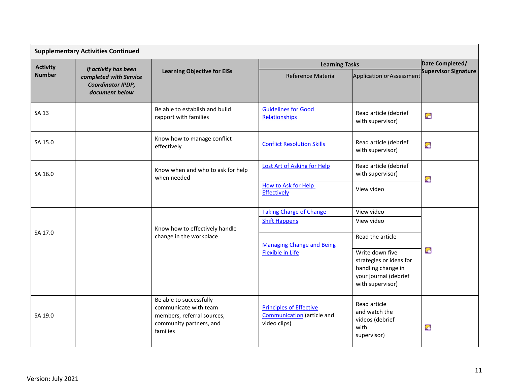|                 | <b>Supplementary Activities Continued</b>                     |                                                                                                                       |                                                                                     |                                                                                                                                   |                             |  |
|-----------------|---------------------------------------------------------------|-----------------------------------------------------------------------------------------------------------------------|-------------------------------------------------------------------------------------|-----------------------------------------------------------------------------------------------------------------------------------|-----------------------------|--|
| <b>Activity</b> | If activity has been                                          | <b>Learning Objective for EISs</b>                                                                                    | <b>Learning Tasks</b>                                                               | Date Completed/                                                                                                                   |                             |  |
| <b>Number</b>   | completed with Service<br>Coordinator IPDP,<br>document below |                                                                                                                       | <b>Reference Material</b>                                                           | Application or Assessment                                                                                                         | <b>Supervisor Signature</b> |  |
| SA 13           |                                                               | Be able to establish and build<br>rapport with families                                                               | <b>Guidelines for Good</b><br>Relationships                                         | Read article (debrief<br>with supervisor)                                                                                         | G                           |  |
| SA 15.0         |                                                               | Know how to manage conflict<br>effectively                                                                            | <b>Conflict Resolution Skills</b>                                                   | Read article (debrief<br>with supervisor)                                                                                         | G                           |  |
| SA 16.0         | Know when and who to ask for help<br>when needed              |                                                                                                                       | <b>Lost Art of Asking for Help</b>                                                  | Read article (debrief<br>with supervisor)                                                                                         | G                           |  |
|                 |                                                               | How to Ask for Help<br><b>Effectively</b>                                                                             | View video                                                                          |                                                                                                                                   |                             |  |
|                 |                                                               |                                                                                                                       | <b>Taking Charge of Change</b>                                                      | View video                                                                                                                        |                             |  |
| SA 17.0         |                                                               | Know how to effectively handle                                                                                        | <b>Shift Happens</b>                                                                | View video                                                                                                                        |                             |  |
|                 |                                                               | change in the workplace                                                                                               | <b>Managing Change and Being</b><br><b>Flexible in Life</b>                         | Read the article<br>Write down five<br>strategies or ideas for<br>handling change in<br>your journal (debrief<br>with supervisor) | G                           |  |
| SA 19.0         |                                                               | Be able to successfully<br>communicate with team<br>members, referral sources,<br>community partners, and<br>families | <b>Principles of Effective</b><br><b>Communication</b> (article and<br>video clips) | Read article<br>and watch the<br>videos (debrief<br>with<br>supervisor)                                                           | G                           |  |